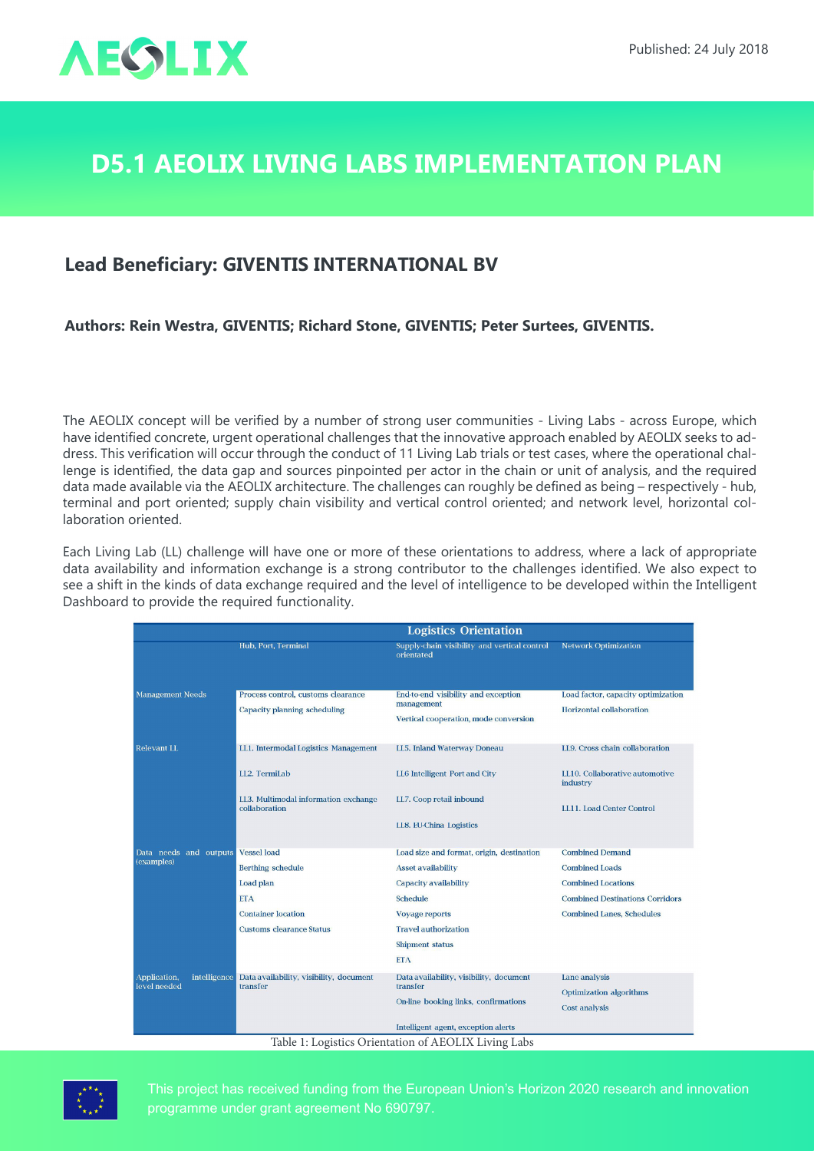

## **D5.1 AEOLIX Living Labs Implementation Plan**

## **Lead Beneficiary: GIVENTIS INTERNATIONAL BV**

**Authors: Rein Westra, GIVENTIS; Richard Stone, GIVENTIS; Peter Surtees, GIVENTIS.**

The AEOLIX concept will be verified by a number of strong user communities - Living Labs - across Europe, which have identified concrete, urgent operational challenges that the innovative approach enabled by AEOLIX seeks to address. This verification will occur through the conduct of 11 Living Lab trials or test cases, where the operational challenge is identified, the data gap and sources pinpointed per actor in the chain or unit of analysis, and the required data made available via the AEOLIX architecture. The challenges can roughly be defined as being – respectively - hub, terminal and port oriented; supply chain visibility and vertical control oriented; and network level, horizontal collaboration oriented.

Each Living Lab (LL) challenge will have one or more of these orientations to address, where a lack of appropriate data availability and information exchange is a strong contributor to the challenges identified. We also expect to see a shift in the kinds of data exchange required and the level of intelligence to be developed within the Intelligent Dashboard to provide the required functionality.

|                                              |                                                                                                                                           | <b>Logistics Orientation</b>                                                                                                                                                                                       |                                                                                                                                                            |
|----------------------------------------------|-------------------------------------------------------------------------------------------------------------------------------------------|--------------------------------------------------------------------------------------------------------------------------------------------------------------------------------------------------------------------|------------------------------------------------------------------------------------------------------------------------------------------------------------|
|                                              | Hub, Port, Terminal                                                                                                                       | Supply-chain visibility and vertical control<br>orientated                                                                                                                                                         | <b>Network Optimization</b>                                                                                                                                |
| <b>Management Needs</b>                      | Process control, customs clearance<br>Capacity planning scheduling                                                                        | End-to-end visibility and exception<br>management<br>Vertical cooperation, mode conversion                                                                                                                         | Load factor, capacity optimization<br>Horizontal collaboration                                                                                             |
| <b>Relevant LL</b>                           | LL1. Intermodal Logistics Management<br>LL2. TermiLab<br>LL3. Multimodal information exchange<br>collaboration                            | LL5. Inland Waterway Doneau<br>LL6 Intelligent Port and City<br>LL7. Coop retail inbound<br>LL8. EU-China Logistics                                                                                                | LL9. Cross chain collaboration<br>LL10. Collaborative automotive<br>industry<br>LL11. Load Center Control                                                  |
| Data needs and outputs<br>(examples)         | <b>Vessel</b> load<br><b>Berthing schedule</b><br>Load plan<br><b>ETA</b><br><b>Container location</b><br><b>Customs clearance Status</b> | Load size and format, origin, destination<br><b>Asset availability</b><br>Capacity availability<br><b>Schedule</b><br><b>Voyage reports</b><br><b>Travel authorization</b><br><b>Shipment status</b><br><b>ETA</b> | <b>Combined Demand</b><br><b>Combined Loads</b><br><b>Combined Locations</b><br><b>Combined Destinations Corridors</b><br><b>Combined Lanes, Schedules</b> |
| Application,<br>intelligence<br>level needed | Data availability, visibility, document<br>transfer                                                                                       | Data availability, visibility, document<br>transfer<br>On-line booking links, confirmations<br>Intelligent agent, exception alerts<br>Table 1: Logistics Orientation of AEOLIX Living Labs                         | Lane analysis<br>Optimization algorithms<br>Cost analysis                                                                                                  |

Table 1: Logistics Orientation of AEOLIX Living Labs



This project has received funding from the European Union's Horizon 2020 research and innovation programme under grant agreement No 690797.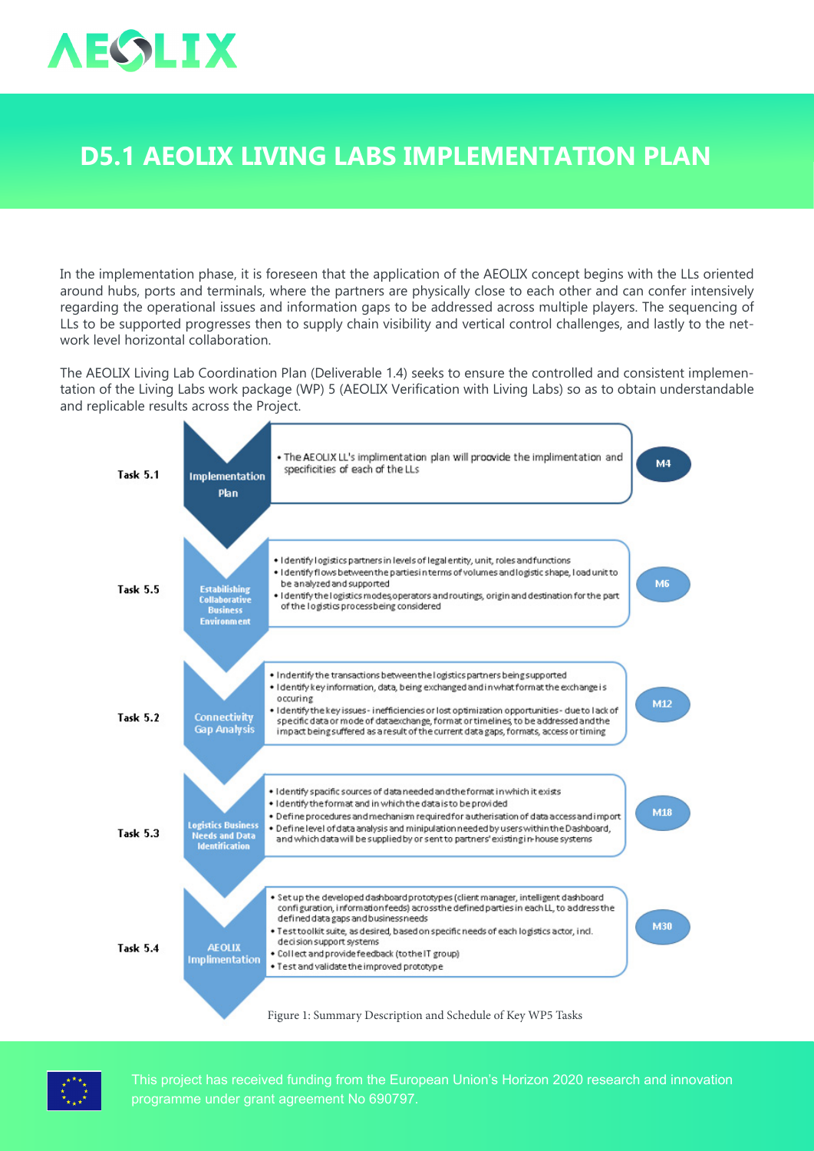

## **D5.1 AEOLIX Living Labs Implementation Plan**

In the implementation phase, it is foreseen that the application of the AEOLIX concept begins with the LLs oriented around hubs, ports and terminals, where the partners are physically close to each other and can confer intensively regarding the operational issues and information gaps to be addressed across multiple players. The sequencing of LLs to be supported progresses then to supply chain visibility and vertical control challenges, and lastly to the network level horizontal collaboration.

The AEOLIX Living Lab Coordination Plan (Deliverable 1.4) seeks to ensure the controlled and consistent implementation of the Living Labs work package (WP) 5 (AEOLIX Verification with Living Labs) so as to obtain understandable and replicable results across the Project.





This project has received funding from the European Union's Horizon 2020 research and innovation programme under grant agreement No 690797.